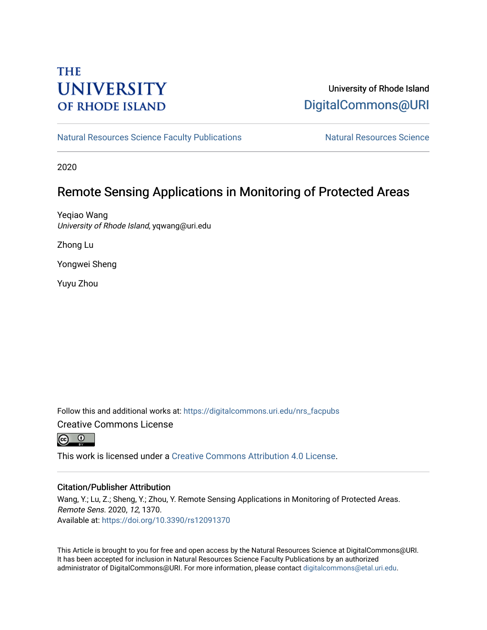# **THE UNIVERSITY OF RHODE ISLAND**

# University of Rhode Island [DigitalCommons@URI](https://digitalcommons.uri.edu/)

[Natural Resources Science Faculty Publications](https://digitalcommons.uri.edu/nrs_facpubs) Natural Resources Science

2020

# Remote Sensing Applications in Monitoring of Protected Areas

Yeqiao Wang University of Rhode Island, yqwang@uri.edu

Zhong Lu

Yongwei Sheng

Yuyu Zhou

Follow this and additional works at: [https://digitalcommons.uri.edu/nrs\\_facpubs](https://digitalcommons.uri.edu/nrs_facpubs?utm_source=digitalcommons.uri.edu%2Fnrs_facpubs%2F148&utm_medium=PDF&utm_campaign=PDFCoverPages)  Creative Commons License



This work is licensed under a [Creative Commons Attribution 4.0 License](https://creativecommons.org/licenses/by/4.0/).

## Citation/Publisher Attribution

Wang, Y.; Lu, Z.; Sheng, Y.; Zhou, Y. Remote Sensing Applications in Monitoring of Protected Areas. Remote Sens. 2020, 12, 1370. Available at:<https://doi.org/10.3390/rs12091370>

This Article is brought to you for free and open access by the Natural Resources Science at DigitalCommons@URI. It has been accepted for inclusion in Natural Resources Science Faculty Publications by an authorized administrator of DigitalCommons@URI. For more information, please contact [digitalcommons@etal.uri.edu.](mailto:digitalcommons@etal.uri.edu)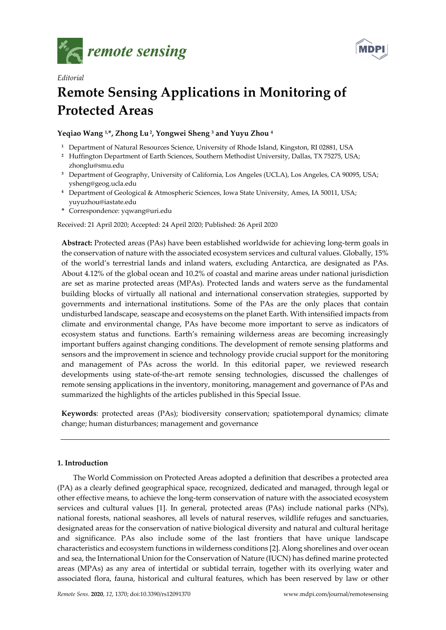

*Editorial* 



# **Remote Sensing Applications in Monitoring of Protected Areas**

## **Yeqiao Wang 1,\*, Zhong Lu 2, Yongwei Sheng 3 and Yuyu Zhou 4**

- **<sup>1</sup>** Department of Natural Resources Science, University of Rhode Island, Kingston, RI 02881, USA
- <sup>2</sup> Huffington Department of Earth Sciences, Southern Methodist University, Dallas, TX 75275, USA; zhonglu@smu.edu
- **<sup>3</sup>** Department of Geography, University of California, Los Angeles (UCLA), Los Angeles, CA 90095, USA; ysheng@geog.ucla.edu
- **<sup>4</sup>** Department of Geological & Atmospheric Sciences, Iowa State University, Ames, IA 50011, USA; yuyuzhou@iastate.edu
- **\*** Correspondence: yqwang@uri.edu

Received: 21 April 2020; Accepted: 24 April 2020; Published: 26 April 2020

**Abstract:** Protected areas (PAs) have been established worldwide for achieving long-term goals in the conservation of nature with the associated ecosystem services and cultural values. Globally, 15% of the world's terrestrial lands and inland waters, excluding Antarctica, are designated as PAs. About 4.12% of the global ocean and 10.2% of coastal and marine areas under national jurisdiction are set as marine protected areas (MPAs). Protected lands and waters serve as the fundamental building blocks of virtually all national and international conservation strategies, supported by governments and international institutions. Some of the PAs are the only places that contain undisturbed landscape, seascape and ecosystems on the planet Earth. With intensified impacts from climate and environmental change, PAs have become more important to serve as indicators of ecosystem status and functions. Earth's remaining wilderness areas are becoming increasingly important buffers against changing conditions. The development of remote sensing platforms and sensors and the improvement in science and technology provide crucial support for the monitoring and management of PAs across the world. In this editorial paper, we reviewed research developments using state-of-the-art remote sensing technologies, discussed the challenges of remote sensing applications in the inventory, monitoring, management and governance of PAs and summarized the highlights of the articles published in this Special Issue.

**Keywords**: protected areas (PAs); biodiversity conservation; spatiotemporal dynamics; climate change; human disturbances; management and governance

## **1. Introduction**

The World Commission on Protected Areas adopted a definition that describes a protected area (PA) as a clearly defined geographical space, recognized, dedicated and managed, through legal or other effective means, to achieve the long-term conservation of nature with the associated ecosystem services and cultural values [1]. In general, protected areas (PAs) include national parks (NPs), national forests, national seashores, all levels of natural reserves, wildlife refuges and sanctuaries, designated areas for the conservation of native biological diversity and natural and cultural heritage and significance. PAs also include some of the last frontiers that have unique landscape characteristics and ecosystem functions in wilderness conditions [2]. Along shorelines and over ocean and sea, the International Union for the Conservation of Nature (IUCN) has defined marine protected areas (MPAs) as any area of intertidal or subtidal terrain, together with its overlying water and associated flora, fauna, historical and cultural features, which has been reserved by law or other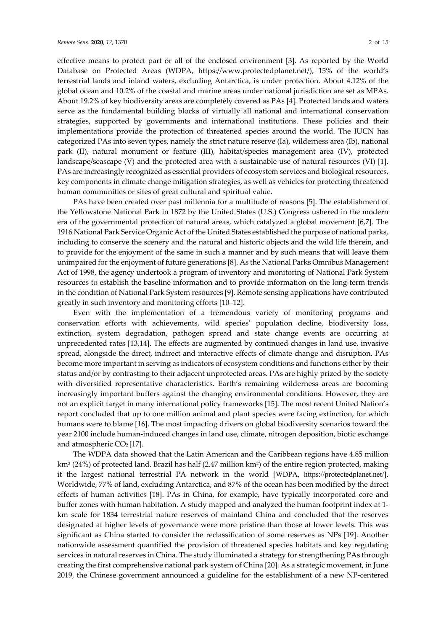effective means to protect part or all of the enclosed environment [3]. As reported by the World Database on Protected Areas (WDPA, https://www.protectedplanet.net/), 15% of the world's terrestrial lands and inland waters, excluding Antarctica, is under protection. About 4.12% of the global ocean and 10.2% of the coastal and marine areas under national jurisdiction are set as MPAs. About 19.2% of key biodiversity areas are completely covered as PAs [4]. Protected lands and waters serve as the fundamental building blocks of virtually all national and international conservation strategies, supported by governments and international institutions. These policies and their implementations provide the protection of threatened species around the world. The IUCN has categorized PAs into seven types, namely the strict nature reserve (Ia), wilderness area (Ib), national park (II), natural monument or feature (III), habitat/species management area (IV), protected landscape/seascape (V) and the protected area with a sustainable use of natural resources (VI) [1]. PAs are increasingly recognized as essential providers of ecosystem services and biological resources, key components in climate change mitigation strategies, as well as vehicles for protecting threatened human communities or sites of great cultural and spiritual value.

PAs have been created over past millennia for a multitude of reasons [5]. The establishment of the Yellowstone National Park in 1872 by the United States (U.S.) Congress ushered in the modern era of the governmental protection of natural areas, which catalyzed a global movement [6,7]. The 1916 National Park Service Organic Act of the United States established the purpose of national parks, including to conserve the scenery and the natural and historic objects and the wild life therein, and to provide for the enjoyment of the same in such a manner and by such means that will leave them unimpaired for the enjoyment of future generations [8]. As the National Parks Omnibus Management Act of 1998, the agency undertook a program of inventory and monitoring of National Park System resources to establish the baseline information and to provide information on the long-term trends in the condition of National Park System resources [9]. Remote sensing applications have contributed greatly in such inventory and monitoring efforts [10–12].

Even with the implementation of a tremendous variety of monitoring programs and conservation efforts with achievements, wild species' population decline, biodiversity loss, extinction, system degradation, pathogen spread and state change events are occurring at unprecedented rates [13,14]. The effects are augmented by continued changes in land use, invasive spread, alongside the direct, indirect and interactive effects of climate change and disruption. PAs become more important in serving as indicators of ecosystem conditions and functions either by their status and/or by contrasting to their adjacent unprotected areas. PAs are highly prized by the society with diversified representative characteristics. Earth's remaining wilderness areas are becoming increasingly important buffers against the changing environmental conditions. However, they are not an explicit target in many international policy frameworks [15]. The most recent United Nation's report concluded that up to one million animal and plant species were facing extinction, for which humans were to blame [16]. The most impacting drivers on global biodiversity scenarios toward the year 2100 include human-induced changes in land use, climate, nitrogen deposition, biotic exchange and atmospheric  $CO<sub>2</sub>[17]$ .

The WDPA data showed that the Latin American and the Caribbean regions have 4.85 million km2 (24%) of protected land. Brazil has half (2.47 million km2) of the entire region protected, making it the largest national terrestrial PA network in the world [WDPA, https://protectedplanet.net/]. Worldwide, 77% of land, excluding Antarctica, and 87% of the ocean has been modified by the direct effects of human activities [18]. PAs in China, for example, have typically incorporated core and buffer zones with human habitation. A study mapped and analyzed the human footprint index at 1 km scale for 1834 terrestrial nature reserves of mainland China and concluded that the reserves designated at higher levels of governance were more pristine than those at lower levels. This was significant as China started to consider the reclassification of some reserves as NPs [19]. Another nationwide assessment quantified the provision of threatened species habitats and key regulating services in natural reserves in China. The study illuminated a strategy for strengthening PAs through creating the first comprehensive national park system of China [20]. As a strategic movement, in June 2019, the Chinese government announced a guideline for the establishment of a new NP-centered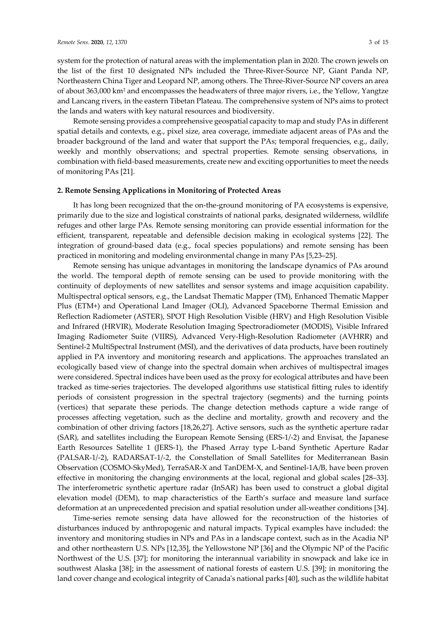system for the protection of natural areas with the implementation plan in 2020. The crown jewels on the list of the first 10 designated NPs included the Three-River-Source NP, Giant Panda NP, Northeastern China Tiger and Leopard NP, among others. The Three-River-Source NP covers an area of about 363,000 km2 and encompasses the headwaters of three major rivers, i.e., the Yellow, Yangtze and Lancang rivers, in the eastern Tibetan Plateau. The comprehensive system of NPs aims to protect the lands and waters with key natural resources and biodiversity.

Remote sensing provides a comprehensive geospatial capacity to map and study PAs in different spatial details and contexts, e.g., pixel size, area coverage, immediate adjacent areas of PAs and the broader background of the land and water that support the PAs; temporal frequencies, e.g., daily, weekly and monthly observations; and spectral properties. Remote sensing observations, in combination with field-based measurements, create new and exciting opportunities to meet the needs of monitoring PAs [21].

#### **2. Remote Sensing Applications in Monitoring of Protected Areas**

It has long been recognized that the on-the-ground monitoring of PA ecosystems is expensive, primarily due to the size and logistical constraints of national parks, designated wilderness, wildlife refuges and other large PAs. Remote sensing monitoring can provide essential information for the efficient, transparent, repeatable and defensible decision making in ecological systems [22]. The integration of ground-based data (e.g., focal species populations) and remote sensing has been practiced in monitoring and modeling environmental change in many PAs [5,23–25].

Remote sensing has unique advantages in monitoring the landscape dynamics of PAs around the world. The temporal depth of remote sensing can be used to provide monitoring with the continuity of deployments of new satellites and sensor systems and image acquisition capability. Multispectral optical sensors, e.g., the Landsat Thematic Mapper (TM), Enhanced Thematic Mapper Plus (ETM+) and Operational Land Imager (OLI), Advanced Spaceborne Thermal Emission and Reflection Radiometer (ASTER), SPOT High Resolution Visible (HRV) and High Resolution Visible and Infrared (HRVIR), Moderate Resolution Imaging Spectroradiometer (MODIS), Visible Infrared Imaging Radiometer Suite (VIIRS), Advanced Very-High-Resolution Radiometer (AVHRR) and Sentinel-2 MultiSpectral Instrument (MSI), and the derivatives of data products, have been routinely applied in PA inventory and monitoring research and applications. The approaches translated an ecologically based view of change into the spectral domain when archives of multispectral images were considered. Spectral indices have been used as the proxy for ecological attributes and have been tracked as time-series trajectories. The developed algorithms use statistical fitting rules to identify periods of consistent progression in the spectral trajectory (segments) and the turning points (vertices) that separate these periods. The change detection methods capture a wide range of processes affecting vegetation, such as the decline and mortality, growth and recovery and the combination of other driving factors [18,26,27]. Active sensors, such as the synthetic aperture radar (SAR), and satellites including the European Remote Sensing (ERS-1/-2) and Envisat, the Japanese Earth Resources Satellite 1 (JERS-1), the Phased Array type L-band Synthetic Aperture Radar (PALSAR-1/-2), RADARSAT-1/-2, the Constellation of Small Satellites for Mediterranean Basin Observation (COSMO-SkyMed), TerraSAR-X and TanDEM-X, and Sentinel-1A/B, have been proven effective in monitoring the changing environments at the local, regional and global scales [28–33]. The interferometric synthetic aperture radar (InSAR) has been used to construct a global digital elevation model (DEM), to map characteristics of the Earth's surface and measure land surface deformation at an unprecedented precision and spatial resolution under all-weather conditions [34].

Time-series remote sensing data have allowed for the reconstruction of the histories of disturbances induced by anthropogenic and natural impacts. Typical examples have included: the inventory and monitoring studies in NPs and PAs in a landscape context, such as in the Acadia NP and other northeastern U.S. NPs [12,35], the Yellowstone NP [36] and the Olympic NP of the Pacific Northwest of the U.S. [37]; for monitoring the interannual variability in snowpack and lake ice in southwest Alaska [38]; in the assessment of national forests of eastern U.S. [39]; in monitoring the land cover change and ecological integrity of Canada's national parks [40], such as the wildlife habitat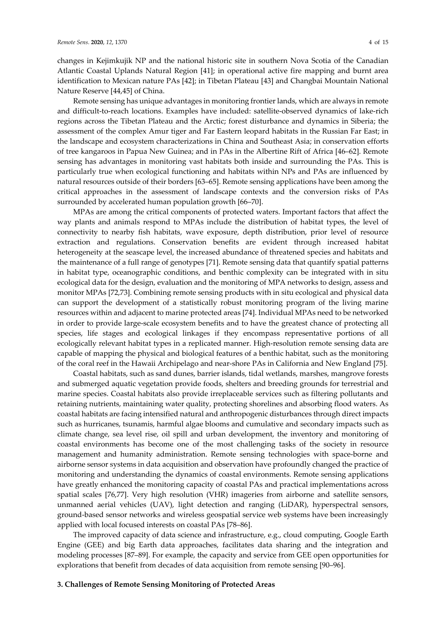changes in Kejimkujik NP and the national historic site in southern Nova Scotia of the Canadian Atlantic Coastal Uplands Natural Region [41]; in operational active fire mapping and burnt area identification to Mexican nature PAs [42]; in Tibetan Plateau [43] and Changbai Mountain National Nature Reserve [44,45] of China.

Remote sensing has unique advantages in monitoring frontier lands, which are always in remote and difficult-to-reach locations. Examples have included: satellite-observed dynamics of lake-rich regions across the Tibetan Plateau and the Arctic; forest disturbance and dynamics in Siberia; the assessment of the complex Amur tiger and Far Eastern leopard habitats in the Russian Far East; in the landscape and ecosystem characterizations in China and Southeast Asia; in conservation efforts of tree kangaroos in Papua New Guinea; and in PAs in the Albertine Rift of Africa [46–62]. Remote sensing has advantages in monitoring vast habitats both inside and surrounding the PAs. This is particularly true when ecological functioning and habitats within NPs and PAs are influenced by natural resources outside of their borders [63–65]. Remote sensing applications have been among the critical approaches in the assessment of landscape contexts and the conversion risks of PAs surrounded by accelerated human population growth [66–70].

MPAs are among the critical components of protected waters. Important factors that affect the way plants and animals respond to MPAs include the distribution of habitat types, the level of connectivity to nearby fish habitats, wave exposure, depth distribution, prior level of resource extraction and regulations. Conservation benefits are evident through increased habitat heterogeneity at the seascape level, the increased abundance of threatened species and habitats and the maintenance of a full range of genotypes [71]. Remote sensing data that quantify spatial patterns in habitat type, oceanographic conditions, and benthic complexity can be integrated with in situ ecological data for the design, evaluation and the monitoring of MPA networks to design, assess and monitor MPAs [72,73]. Combining remote sensing products with in situ ecological and physical data can support the development of a statistically robust monitoring program of the living marine resources within and adjacent to marine protected areas [74]. Individual MPAs need to be networked in order to provide large-scale ecosystem benefits and to have the greatest chance of protecting all species, life stages and ecological linkages if they encompass representative portions of all ecologically relevant habitat types in a replicated manner. High-resolution remote sensing data are capable of mapping the physical and biological features of a benthic habitat, such as the monitoring of the coral reef in the Hawaii Archipelago and near-shore PAs in California and New England [75].

Coastal habitats, such as sand dunes, barrier islands, tidal wetlands, marshes, mangrove forests and submerged aquatic vegetation provide foods, shelters and breeding grounds for terrestrial and marine species. Coastal habitats also provide irreplaceable services such as filtering pollutants and retaining nutrients, maintaining water quality, protecting shorelines and absorbing flood waters. As coastal habitats are facing intensified natural and anthropogenic disturbances through direct impacts such as hurricanes, tsunamis, harmful algae blooms and cumulative and secondary impacts such as climate change, sea level rise, oil spill and urban development, the inventory and monitoring of coastal environments has become one of the most challenging tasks of the society in resource management and humanity administration. Remote sensing technologies with space-borne and airborne sensor systems in data acquisition and observation have profoundly changed the practice of monitoring and understanding the dynamics of coastal environments. Remote sensing applications have greatly enhanced the monitoring capacity of coastal PAs and practical implementations across spatial scales [76,77]. Very high resolution (VHR) imageries from airborne and satellite sensors, unmanned aerial vehicles (UAV), light detection and ranging (LiDAR), hyperspectral sensors, ground-based sensor networks and wireless geospatial service web systems have been increasingly applied with local focused interests on coastal PAs [78–86].

The improved capacity of data science and infrastructure, e.g., cloud computing, Google Earth Engine (GEE) and big Earth data approaches, facilitates data sharing and the integration and modeling processes [87–89]. For example, the capacity and service from GEE open opportunities for explorations that benefit from decades of data acquisition from remote sensing [90–96].

#### **3. Challenges of Remote Sensing Monitoring of Protected Areas**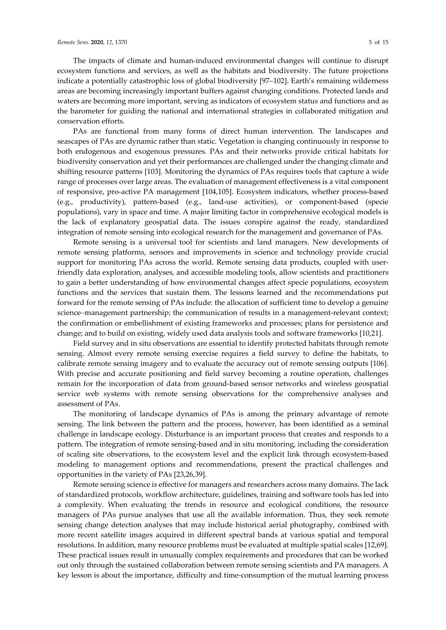The impacts of climate and human-induced environmental changes will continue to disrupt ecosystem functions and services, as well as the habitats and biodiversity. The future projections indicate a potentially catastrophic loss of global biodiversity [97–102]. Earth's remaining wilderness areas are becoming increasingly important buffers against changing conditions. Protected lands and waters are becoming more important, serving as indicators of ecosystem status and functions and as the barometer for guiding the national and international strategies in collaborated mitigation and conservation efforts.

PAs are functional from many forms of direct human intervention. The landscapes and seascapes of PAs are dynamic rather than static. Vegetation is changing continuously in response to both endogenous and exogenous pressures. PAs and their networks provide critical habitats for biodiversity conservation and yet their performances are challenged under the changing climate and shifting resource patterns [103]. Monitoring the dynamics of PAs requires tools that capture a wide range of processes over large areas. The evaluation of management effectiveness is a vital component of responsive, pro-active PA management [104,105]. Ecosystem indicators, whether process-based (e.g., productivity), pattern-based (e.g., land-use activities), or component-based (specie populations), vary in space and time. A major limiting factor in comprehensive ecological models is the lack of explanatory geospatial data. The issues conspire against the ready, standardized integration of remote sensing into ecological research for the management and governance of PAs.

Remote sensing is a universal tool for scientists and land managers. New developments of remote sensing platforms, sensors and improvements in science and technology provide crucial support for monitoring PAs across the world. Remote sensing data products, coupled with userfriendly data exploration, analyses, and accessible modeling tools, allow scientists and practitioners to gain a better understanding of how environmental changes affect specie populations, ecosystem functions and the services that sustain them. The lessons learned and the recommendations put forward for the remote sensing of PAs include: the allocation of sufficient time to develop a genuine science–management partnership; the communication of results in a management-relevant context; the confirmation or embellishment of existing frameworks and processes; plans for persistence and change; and to build on existing, widely used data analysis tools and software frameworks [10,21].

Field survey and in situ observations are essential to identify protected habitats through remote sensing. Almost every remote sensing exercise requires a field survey to define the habitats, to calibrate remote sensing imagery and to evaluate the accuracy out of remote sensing outputs [106]. With precise and accurate positioning and field survey becoming a routine operation, challenges remain for the incorporation of data from ground-based sensor networks and wireless geospatial service web systems with remote sensing observations for the comprehensive analyses and assessment of PAs.

The monitoring of landscape dynamics of PAs is among the primary advantage of remote sensing. The link between the pattern and the process, however, has been identified as a seminal challenge in landscape ecology. Disturbance is an important process that creates and responds to a pattern. The integration of remote sensing-based and in situ monitoring, including the consideration of scaling site observations, to the ecosystem level and the explicit link through ecosystem-based modeling to management options and recommendations, present the practical challenges and opportunities in the variety of PAs [23,26,39].

Remote sensing science is effective for managers and researchers across many domains. The lack of standardized protocols, workflow architecture, guidelines, training and software tools has led into a complexity. When evaluating the trends in resource and ecological conditions, the resource managers of PAs pursue analyses that use all the available information. Thus, they seek remote sensing change detection analyses that may include historical aerial photography, combined with more recent satellite images acquired in different spectral bands at various spatial and temporal resolutions. In addition, many resource problems must be evaluated at multiple spatial scales [12,69]. These practical issues result in unusually complex requirements and procedures that can be worked out only through the sustained collaboration between remote sensing scientists and PA managers. A key lesson is about the importance, difficulty and time-consumption of the mutual learning process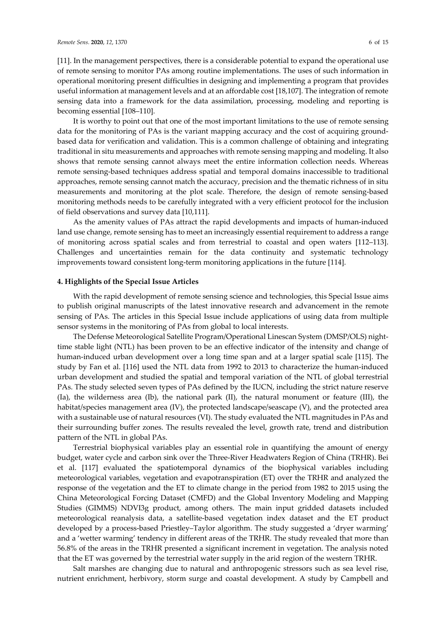[11]. In the management perspectives, there is a considerable potential to expand the operational use of remote sensing to monitor PAs among routine implementations. The uses of such information in operational monitoring present difficulties in designing and implementing a program that provides useful information at management levels and at an affordable cost [18,107]. The integration of remote sensing data into a framework for the data assimilation, processing, modeling and reporting is becoming essential [108–110].

It is worthy to point out that one of the most important limitations to the use of remote sensing data for the monitoring of PAs is the variant mapping accuracy and the cost of acquiring groundbased data for verification and validation. This is a common challenge of obtaining and integrating traditional in situ measurements and approaches with remote sensing mapping and modeling. It also shows that remote sensing cannot always meet the entire information collection needs. Whereas remote sensing-based techniques address spatial and temporal domains inaccessible to traditional approaches, remote sensing cannot match the accuracy, precision and the thematic richness of in situ measurements and monitoring at the plot scale. Therefore, the design of remote sensing-based monitoring methods needs to be carefully integrated with a very efficient protocol for the inclusion of field observations and survey data [10,111].

As the amenity values of PAs attract the rapid developments and impacts of human-induced land use change, remote sensing has to meet an increasingly essential requirement to address a range of monitoring across spatial scales and from terrestrial to coastal and open waters [112–113]. Challenges and uncertainties remain for the data continuity and systematic technology improvements toward consistent long-term monitoring applications in the future [114].

### **4. Highlights of the Special Issue Articles**

With the rapid development of remote sensing science and technologies, this Special Issue aims to publish original manuscripts of the latest innovative research and advancement in the remote sensing of PAs. The articles in this Special Issue include applications of using data from multiple sensor systems in the monitoring of PAs from global to local interests.

The Defense Meteorological Satellite Program/Operational Linescan System (DMSP/OLS) nighttime stable light (NTL) has been proven to be an effective indicator of the intensity and change of human-induced urban development over a long time span and at a larger spatial scale [115]. The study by Fan et al. [116] used the NTL data from 1992 to 2013 to characterize the human-induced urban development and studied the spatial and temporal variation of the NTL of global terrestrial PAs. The study selected seven types of PAs defined by the IUCN, including the strict nature reserve (Ia), the wilderness area (Ib), the national park (II), the natural monument or feature (III), the habitat/species management area (IV), the protected landscape/seascape (V), and the protected area with a sustainable use of natural resources (VI). The study evaluated the NTL magnitudes in PAs and their surrounding buffer zones. The results revealed the level, growth rate, trend and distribution pattern of the NTL in global PAs.

Terrestrial biophysical variables play an essential role in quantifying the amount of energy budget, water cycle and carbon sink over the Three-River Headwaters Region of China (TRHR). Bei et al. [117] evaluated the spatiotemporal dynamics of the biophysical variables including meteorological variables, vegetation and evapotranspiration (ET) over the TRHR and analyzed the response of the vegetation and the ET to climate change in the period from 1982 to 2015 using the China Meteorological Forcing Dataset (CMFD) and the Global Inventory Modeling and Mapping Studies (GIMMS) NDVI3g product, among others. The main input gridded datasets included meteorological reanalysis data, a satellite-based vegetation index dataset and the ET product developed by a process-based Priestley–Taylor algorithm. The study suggested a 'dryer warming' and a 'wetter warming' tendency in different areas of the TRHR. The study revealed that more than 56.8% of the areas in the TRHR presented a significant increment in vegetation. The analysis noted that the ET was governed by the terrestrial water supply in the arid region of the western TRHR.

Salt marshes are changing due to natural and anthropogenic stressors such as sea level rise, nutrient enrichment, herbivory, storm surge and coastal development. A study by Campbell and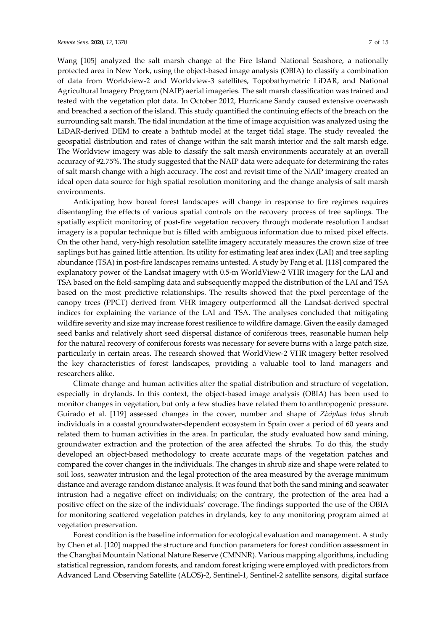Wang [105] analyzed the salt marsh change at the Fire Island National Seashore, a nationally protected area in New York, using the object-based image analysis (OBIA) to classify a combination of data from Worldview-2 and Worldview-3 satellites, Topobathymetric LiDAR, and National Agricultural Imagery Program (NAIP) aerial imageries. The salt marsh classification was trained and tested with the vegetation plot data. In October 2012, Hurricane Sandy caused extensive overwash and breached a section of the island. This study quantified the continuing effects of the breach on the surrounding salt marsh. The tidal inundation at the time of image acquisition was analyzed using the LiDAR-derived DEM to create a bathtub model at the target tidal stage. The study revealed the geospatial distribution and rates of change within the salt marsh interior and the salt marsh edge. The Worldview imagery was able to classify the salt marsh environments accurately at an overall accuracy of 92.75%. The study suggested that the NAIP data were adequate for determining the rates of salt marsh change with a high accuracy. The cost and revisit time of the NAIP imagery created an ideal open data source for high spatial resolution monitoring and the change analysis of salt marsh environments.

Anticipating how boreal forest landscapes will change in response to fire regimes requires disentangling the effects of various spatial controls on the recovery process of tree saplings. The spatially explicit monitoring of post-fire vegetation recovery through moderate resolution Landsat imagery is a popular technique but is filled with ambiguous information due to mixed pixel effects. On the other hand, very-high resolution satellite imagery accurately measures the crown size of tree saplings but has gained little attention. Its utility for estimating leaf area index (LAI) and tree sapling abundance (TSA) in post-fire landscapes remains untested. A study by Fang et al. [118] compared the explanatory power of the Landsat imagery with 0.5-m WorldView-2 VHR imagery for the LAI and TSA based on the field-sampling data and subsequently mapped the distribution of the LAI and TSA based on the most predictive relationships. The results showed that the pixel percentage of the canopy trees (PPCT) derived from VHR imagery outperformed all the Landsat-derived spectral indices for explaining the variance of the LAI and TSA. The analyses concluded that mitigating wildfire severity and size may increase forest resilience to wildfire damage. Given the easily damaged seed banks and relatively short seed dispersal distance of coniferous trees, reasonable human help for the natural recovery of coniferous forests was necessary for severe burns with a large patch size, particularly in certain areas. The research showed that WorldView-2 VHR imagery better resolved the key characteristics of forest landscapes, providing a valuable tool to land managers and researchers alike.

Climate change and human activities alter the spatial distribution and structure of vegetation, especially in drylands. In this context, the object-based image analysis (OBIA) has been used to monitor changes in vegetation, but only a few studies have related them to anthropogenic pressure. Guirado et al*.* [119] assessed changes in the cover, number and shape of *Ziziphus lotus* shrub individuals in a coastal groundwater-dependent ecosystem in Spain over a period of 60 years and related them to human activities in the area. In particular, the study evaluated how sand mining, groundwater extraction and the protection of the area affected the shrubs. To do this, the study developed an object-based methodology to create accurate maps of the vegetation patches and compared the cover changes in the individuals. The changes in shrub size and shape were related to soil loss, seawater intrusion and the legal protection of the area measured by the average minimum distance and average random distance analysis. It was found that both the sand mining and seawater intrusion had a negative effect on individuals; on the contrary, the protection of the area had a positive effect on the size of the individuals' coverage. The findings supported the use of the OBIA for monitoring scattered vegetation patches in drylands, key to any monitoring program aimed at vegetation preservation.

Forest condition is the baseline information for ecological evaluation and management. A study by Chen et al*.* [120] mapped the structure and function parameters for forest condition assessment in the Changbai Mountain National Nature Reserve (CMNNR). Various mapping algorithms, including statistical regression, random forests, and random forest kriging were employed with predictors from Advanced Land Observing Satellite (ALOS)-2, Sentinel-1, Sentinel-2 satellite sensors, digital surface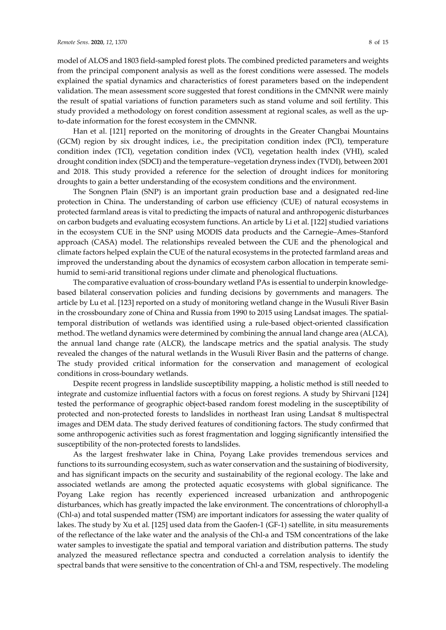model of ALOS and 1803 field-sampled forest plots. The combined predicted parameters and weights from the principal component analysis as well as the forest conditions were assessed. The models explained the spatial dynamics and characteristics of forest parameters based on the independent validation. The mean assessment score suggested that forest conditions in the CMNNR were mainly the result of spatial variations of function parameters such as stand volume and soil fertility. This study provided a methodology on forest condition assessment at regional scales, as well as the upto-date information for the forest ecosystem in the CMNNR.

Han et al. [121] reported on the monitoring of droughts in the Greater Changbai Mountains (GCM) region by six drought indices, i.e., the precipitation condition index (PCI), temperature condition index (TCI), vegetation condition index (VCI), vegetation health index (VHI), scaled drought condition index (SDCI) and the temperature–vegetation dryness index (TVDI), between 2001 and 2018. This study provided a reference for the selection of drought indices for monitoring droughts to gain a better understanding of the ecosystem conditions and the environment.

The Songnen Plain (SNP) is an important grain production base and a designated red-line protection in China. The understanding of carbon use efficiency (CUE) of natural ecosystems in protected farmland areas is vital to predicting the impacts of natural and anthropogenic disturbances on carbon budgets and evaluating ecosystem functions. An article by Li et al. [122] studied variations in the ecosystem CUE in the SNP using MODIS data products and the Carnegie–Ames–Stanford approach (CASA) model. The relationships revealed between the CUE and the phenological and climate factors helped explain the CUE of the natural ecosystems in the protected farmland areas and improved the understanding about the dynamics of ecosystem carbon allocation in temperate semihumid to semi-arid transitional regions under climate and phenological fluctuations.

The comparative evaluation of cross-boundary wetland PAs is essential to underpin knowledgebased bilateral conservation policies and funding decisions by governments and managers. The article by Lu et al. [123] reported on a study of monitoring wetland change in the Wusuli River Basin in the crossboundary zone of China and Russia from 1990 to 2015 using Landsat images. The spatialtemporal distribution of wetlands was identified using a rule-based object-oriented classification method. The wetland dynamics were determined by combining the annual land change area (ALCA), the annual land change rate (ALCR), the landscape metrics and the spatial analysis. The study revealed the changes of the natural wetlands in the Wusuli River Basin and the patterns of change. The study provided critical information for the conservation and management of ecological conditions in cross-boundary wetlands.

Despite recent progress in landslide susceptibility mapping, a holistic method is still needed to integrate and customize influential factors with a focus on forest regions. A study by Shirvani [124] tested the performance of geographic object-based random forest modeling in the susceptibility of protected and non-protected forests to landslides in northeast Iran using Landsat 8 multispectral images and DEM data. The study derived features of conditioning factors. The study confirmed that some anthropogenic activities such as forest fragmentation and logging significantly intensified the susceptibility of the non-protected forests to landslides.

As the largest freshwater lake in China, Poyang Lake provides tremendous services and functions to its surrounding ecosystem, such as water conservation and the sustaining of biodiversity, and has significant impacts on the security and sustainability of the regional ecology. The lake and associated wetlands are among the protected aquatic ecosystems with global significance. The Poyang Lake region has recently experienced increased urbanization and anthropogenic disturbances, which has greatly impacted the lake environment. The concentrations of chlorophyll-a (Chl-a) and total suspended matter (TSM) are important indicators for assessing the water quality of lakes. The study by Xu et al*.* [125] used data from the Gaofen-1 (GF-1) satellite, in situ measurements of the reflectance of the lake water and the analysis of the Chl-a and TSM concentrations of the lake water samples to investigate the spatial and temporal variation and distribution patterns. The study analyzed the measured reflectance spectra and conducted a correlation analysis to identify the spectral bands that were sensitive to the concentration of Chl-a and TSM, respectively. The modeling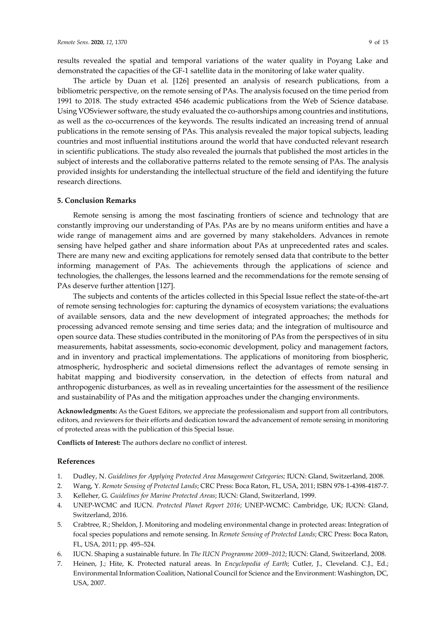results revealed the spatial and temporal variations of the water quality in Poyang Lake and demonstrated the capacities of the GF-1 satellite data in the monitoring of lake water quality.

The article by Duan et al*.* [126] presented an analysis of research publications, from a bibliometric perspective, on the remote sensing of PAs. The analysis focused on the time period from 1991 to 2018. The study extracted 4546 academic publications from the Web of Science database. Using VOSviewer software, the study evaluated the co-authorships among countries and institutions, as well as the co-occurrences of the keywords. The results indicated an increasing trend of annual publications in the remote sensing of PAs. This analysis revealed the major topical subjects, leading countries and most influential institutions around the world that have conducted relevant research in scientific publications. The study also revealed the journals that published the most articles in the subject of interests and the collaborative patterns related to the remote sensing of PAs. The analysis provided insights for understanding the intellectual structure of the field and identifying the future research directions.

#### **5. Conclusion Remarks**

Remote sensing is among the most fascinating frontiers of science and technology that are constantly improving our understanding of PAs. PAs are by no means uniform entities and have a wide range of management aims and are governed by many stakeholders. Advances in remote sensing have helped gather and share information about PAs at unprecedented rates and scales. There are many new and exciting applications for remotely sensed data that contribute to the better informing management of PAs. The achievements through the applications of science and technologies, the challenges, the lessons learned and the recommendations for the remote sensing of PAs deserve further attention [127].

The subjects and contents of the articles collected in this Special Issue reflect the state-of-the-art of remote sensing technologies for: capturing the dynamics of ecosystem variations; the evaluations of available sensors, data and the new development of integrated approaches; the methods for processing advanced remote sensing and time series data; and the integration of multisource and open source data. These studies contributed in the monitoring of PAs from the perspectives of in situ measurements, habitat assessments, socio-economic development, policy and management factors, and in inventory and practical implementations. The applications of monitoring from biospheric, atmospheric, hydrospheric and societal dimensions reflect the advantages of remote sensing in habitat mapping and biodiversity conservation, in the detection of effects from natural and anthropogenic disturbances, as well as in revealing uncertainties for the assessment of the resilience and sustainability of PAs and the mitigation approaches under the changing environments.

**Acknowledgments:** As the Guest Editors, we appreciate the professionalism and support from all contributors, editors, and reviewers for their efforts and dedication toward the advancement of remote sensing in monitoring of protected areas with the publication of this Special Issue.

**Conflicts of Interest:** The authors declare no conflict of interest.

#### **References**

- 1. Dudley, N. *Guidelines for Applying Protected Area Management Categories;* IUCN: Gland, Switzerland, 2008.
- 2. Wang, Y. *Remote Sensing of Protected Lands*; CRC Press: Boca Raton, FL, USA, 2011; ISBN 978-1-4398-4187-7.
- 3. Kelleher, G. *Guidelines for Marine Protected Areas*; IUCN: Gland, Switzerland, 1999.
- 4. UNEP-WCMC and IUCN. *Protected Planet Report 2016*; UNEP-WCMC: Cambridge, UK; IUCN: Gland, Switzerland, 2016.
- 5. Crabtree, R.; Sheldon, J. Monitoring and modeling environmental change in protected areas: Integration of focal species populations and remote sensing. In *Remote Sensing of Protected Lands*; CRC Press: Boca Raton, FL, USA, 2011; pp. 495–524.
- 6. IUCN. Shaping a sustainable future. In *The IUCN Programme 2009–2012*; IUCN: Gland, Switzerland, 2008.
- 7. Heinen, J.; Hite, K. Protected natural areas. In *Encyclopedia of Earth*; Cutler, J., Cleveland. C.J., Ed.; Environmental Information Coalition, National Council for Science and the Environment: Washington, DC, USA, 2007.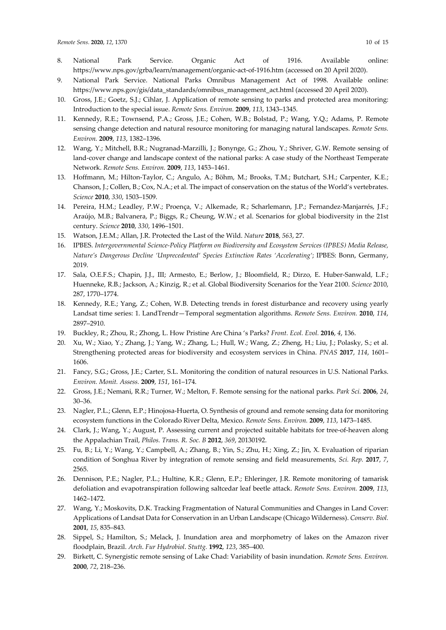- 8. National Park Service. Organic Act of 1916. Available online: https://www.nps.gov/grba/learn/management/organic-act-of-1916.htm (accessed on 20 April 2020).
- 9. National Park Service. National Parks Omnibus Management Act of 1998. Available online: https://www.nps.gov/gis/data\_standards/omnibus\_management\_act.html (accessed 20 April 2020).
- 10. Gross, J.E.; Goetz, S.J.; Cihlar, J. Application of remote sensing to parks and protected area monitoring: Introduction to the special issue. *Remote Sens. Environ.* **2009**, *113*, 1343–1345.
- 11. Kennedy, R.E.; Townsend, P.A.; Gross, J.E.; Cohen, W.B.; Bolstad, P.; Wang, Y.Q.; Adams, P. Remote sensing change detection and natural resource monitoring for managing natural landscapes. *Remote Sens. Environ.* **2009**, *113*, 1382–1396.
- 12. Wang, Y.; Mitchell, B.R.; Nugranad-Marzilli, J.; Bonynge, G.; Zhou, Y.; Shriver, G.W. Remote sensing of land-cover change and landscape context of the national parks: A case study of the Northeast Temperate Network. *Remote Sens. Environ.* **2009**, *113*, 1453–1461.
- 13. Hoffmann, M.; Hilton-Taylor, C.; Angulo, A.; Böhm, M.; Brooks, T.M.; Butchart, S.H.; Carpenter, K.E.; Chanson, J.; Collen, B.; Cox, N.A.; et al. The impact of conservation on the status of the World's vertebrates. *Science* **2010**, *330*, 1503–1509.
- 14. Pereira, H.M.; Leadley, P.W.; Proença, V.; Alkemade, R.; Scharlemann, J.P.; Fernandez-Manjarrés, J.F.; Araújo, M.B.; Balvanera, P.; Biggs, R.; Cheung, W.W.; et al. Scenarios for global biodiversity in the 21st century. *Science* **2010**, *330*, 1496–1501.
- 15. Watson, J.E.M.; Allan, J.R. Protected the Last of the Wild. *Nature* **2018**, *563*, 27.
- 16. IPBES. *Intergovernmental Science-Policy Platform on Biodiversity and Ecosystem Services (IPBES) Media Release, Nature's Dangerous Decline 'Unprecedented' Species Extinction Rates 'Accelerating'*; IPBES: Bonn, Germany, 2019.
- 17. Sala, O.E.F.S.; Chapin, J.J., III; Armesto, E.; Berlow, J.; Bloomfield, R.; Dirzo, E. Huber-Sanwald, L.F.; Huenneke, R.B.; Jackson, A.; Kinzig, R.; et al. Global Biodiversity Scenarios for the Year 2100. *Science* 2010, 287, 1770–1774.
- 18. Kennedy, R.E.; Yang, Z.; Cohen, W.B. Detecting trends in forest disturbance and recovery using yearly Landsat time series: 1. LandTrendr—Temporal segmentation algorithms. *Remote Sens. Environ.* **2010**, *114*, 2897–2910.
- 19. Buckley, R.; Zhou, R.; Zhong, L. How Pristine Are China 's Parks? *Front. Ecol. Evol.* **2016**, *4*, 136.
- 20. Xu, W.; Xiao, Y.; Zhang, J.; Yang, W.; Zhang, L.; Hull, W.; Wang, Z.; Zheng, H.; Liu, J.; Polasky, S.; et al. Strengthening protected areas for biodiversity and ecosystem services in China. *PNAS* **2017**, *114*, 1601– 1606.
- 21. Fancy, S.G.; Gross, J.E.; Carter, S.L. Monitoring the condition of natural resources in U.S. National Parks. *Environ. Monit. Assess.* **2009**, *151*, 161–174.
- 22. Gross, J.E.; Nemani, R.R.; Turner, W.; Melton, F. Remote sensing for the national parks. *Park Sci.* **2006**, *24*, 30–36.
- 23. Nagler, P.L.; Glenn, E.P.; Hinojosa-Huerta, O. Synthesis of ground and remote sensing data for monitoring ecosystem functions in the Colorado River Delta, Mexico. *Remote Sens. Environ.* **2009**, *113*, 1473–1485.
- 24. Clark, J.; Wang, Y.; August, P. Assessing current and projected suitable habitats for tree-of-heaven along the Appalachian Trail, *Philos. Trans. R. Soc. B* **2012**, *369*, 20130192.
- 25. Fu, B.; Li, Y.; Wang, Y.; Campbell, A.; Zhang, B.; Yin, S.; Zhu, H.; Xing, Z.; Jin, X. Evaluation of riparian condition of Songhua River by integration of remote sensing and field measurements, *Sci. Rep.* **2017**, *7*, 2565.
- 26. Dennison, P.E.; Nagler, P.L.; Hultine, K.R.; Glenn, E.P.; Ehleringer, J.R. Remote monitoring of tamarisk defoliation and evapotranspiration following saltcedar leaf beetle attack. *Remote Sens. Environ.* **2009**, *113*, 1462–1472.
- 27. Wang, Y.; Moskovits, D.K. Tracking Fragmentation of Natural Communities and Changes in Land Cover: Applications of Landsat Data for Conservation in an Urban Landscape (Chicago Wilderness). *Conserv. Biol.* **2001**, *15*, 835–843.
- 28. Sippel, S.; Hamilton, S.; Melack, J. Inundation area and morphometry of lakes on the Amazon river floodplain, Brazil. *Arch*. *Fur Hydrobiol*. *Stuttg.* **1992**, *123*, 385–400.
- 29. Birkett, C. Synergistic remote sensing of Lake Chad: Variability of basin inundation. *Remote Sens. Environ.*  **2000**, *72*, 218–236.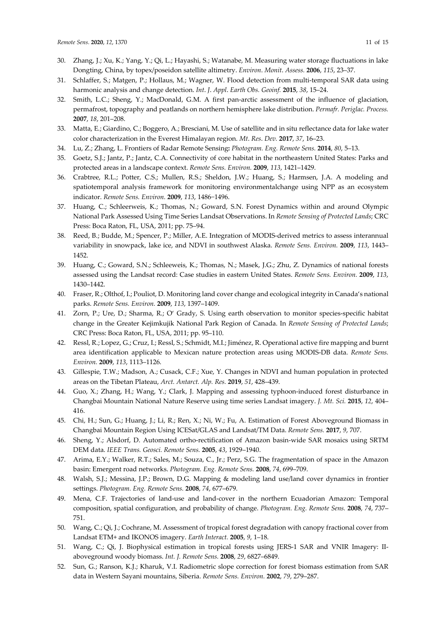- 30. Zhang, J.; Xu, K.; Yang, Y.; Qi, L.; Hayashi, S.; Watanabe, M. Measuring water storage fluctuations in lake Dongting, China, by topex/poseidon satellite altimetry. *Environ*. *Monit*. *Assess.* **2006**, *115*, 23–37.
- 31. Schlaffer, S.; Matgen, P.; Hollaus, M.; Wagner, W. Flood detection from multi-temporal SAR data using harmonic analysis and change detection. *Int*. *J*. *Appl*. *Earth Obs. Geoinf.* **2015**, *38*, 15–24.
- 32. Smith, L.C.; Sheng, Y.; MacDonald, G.M. A first pan-arctic assessment of the influence of glaciation, permafrost, topography and peatlands on northern hemisphere lake distribution. *Permafr. Periglac. Process.* **2007**, *18*, 201–208.
- 33. Matta, E.; Giardino, C.; Boggero, A.; Bresciani, M. Use of satellite and in situ reflectance data for lake water color characterization in the Everest Himalayan region. *Mt*. *Res*. *Dev.* **2017**, *37*, 16–23.
- 34. Lu, Z.; Zhang, L. Frontiers of Radar Remote Sensing**:** *Photogram. Eng. Remote Sens.* **2014**, *80*, 5–13.
- 35. Goetz, S.J.; Jantz, P.; Jantz, C.A. Connectivity of core habitat in the northeastern United States: Parks and protected areas in a landscape context. *Remote Sens. Environ.* **2009**, *113*, 1421–1429.
- 36. Crabtree, R.L.; Potter, C.S.; Mullen, R.S.; Sheldon, J.W.; Huang, S.; Harmsen, J.A. A modeling and spatiotemporal analysis framework for monitoring environmentalchange using NPP as an ecosystem indicator. *Remote Sens. Environ.* **2009**, *113*, 1486−1496.
- 37. Huang, C.; Schleerweis, K.; Thomas, N.; Goward, S.N. Forest Dynamics within and around Olympic National Park Assessed Using Time Series Landsat Observations. In *Remote Sensing of Protected Lands*; CRC Press: Boca Raton, FL, USA, 2011; pp. 75–94.
- 38. Reed, B.; Budde, M.; Spencer, P.; Miller, A.E. Integration of MODIS-derived metrics to assess interannual variability in snowpack, lake ice, and NDVI in southwest Alaska. *Remote Sens. Environ.* **2009**, *113*, 1443– 1452.
- 39. Huang, C.; Goward, S.N.; Schleeweis, K.; Thomas, N.; Masek, J.G.; Zhu, Z. Dynamics of national forests assessed using the Landsat record: Case studies in eastern United States. *Remote Sens. Environ.* **2009**, *113*, 1430–1442.
- 40. Fraser, R.; Olthof, I.; Pouliot, D. Monitoring land cover change and ecological integrity in Canada's national parks. *Remote Sens. Environ.* **2009**, *113*, 1397–1409.
- 41. Zorn, P.; Ure, D.; Sharma, R.; O' Grady, S. Using earth observation to monitor species-specific habitat change in the Greater Kejimkujik National Park Region of Canada. In *Remote Sensing of Protected Lands*; CRC Press: Boca Raton, FL, USA, 2011; pp. 95–110.
- 42. Ressl, R.; Lopez, G.; Cruz, I.; Ressl, S.; Schmidt, M.I.; Jiménez, R. Operational active fire mapping and burnt area identification applicable to Mexican nature protection areas using MODIS-DB data. *Remote Sens. Environ.* **2009**, *113*, 1113–1126.
- 43. Gillespie, T.W.; Madson, A.; Cusack, C.F.; Xue, Y. Changes in NDVI and human population in protected areas on the Tibetan Plateau, *Arct. Antarct. Alp. Res.* **2019**, *51*, 428–439.
- 44. Guo, X.; Zhang, H.; Wang, Y.; Clark, J. Mapping and assessing typhoon-induced forest disturbance in Changbai Mountain National Nature Reserve using time series Landsat imagery. *J. Mt. Sci.* **2015**, *12*, 404– 416.
- 45. Chi, H.; Sun, G.; Huang, J.; Li, R.; Ren, X.; Ni, W.; Fu, A. Estimation of Forest Aboveground Biomass in Changbai Mountain Region Using ICESat/GLAS and Landsat/TM Data. *Remote Sens.* **2017**, *9*, 707.
- 46. Sheng, Y.; Alsdorf, D. Automated ortho-rectification of Amazon basin-wide SAR mosaics using SRTM DEM data. *IEEE Trans. Geosci. Remote Sens.* **2005**, *43*, 1929–1940.
- 47. Arima, E.Y.; Walker, R.T.; Sales, M.; Souza, C., Jr.; Perz, S.G. The fragmentation of space in the Amazon basin: Emergent road networks. *Photogram. Eng. Remote Sens.* **2008**, *74*, 699–709.
- 48. Walsh, S.J.; Messina, J.P.; Brown, D.G. Mapping & modeling land use/land cover dynamics in frontier settings. *Photogram. Eng. Remote Sens.* **2008**, *74*, 677–679.
- 49. Mena, C.F. Trajectories of land-use and land-cover in the northern Ecuadorian Amazon: Temporal composition, spatial configuration, and probability of change. *Photogram. Eng. Remote Sens.* **2008**, *74*, 737– 751.
- 50. Wang, C.; Qi, J.; Cochrane, M. Assessment of tropical forest degradation with canopy fractional cover from Landsat ETM+ and IKONOS imagery. *Earth Interact.* **2005**, *9*, 1–18.
- 51. Wang, C.; Qi, J. Biophysical estimation in tropical forests using JERS-1 SAR and VNIR Imagery: IIaboveground woody biomass. *Int. J. Remote Sens.* **2008**, *29*, 6827–6849.
- 52. Sun, G.; Ranson, K.J.; Kharuk, V.I. Radiometric slope correction for forest biomass estimation from SAR data in Western Sayani mountains, Siberia. *Remote Sens. Environ.* **2002**, *79*, 279–287.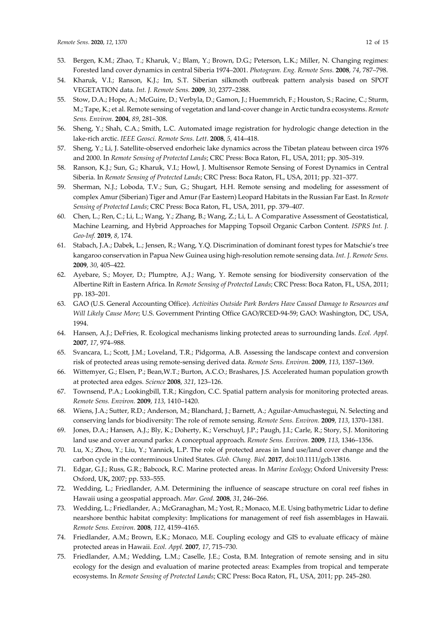- 53. Bergen, K.M.; Zhao, T.; Kharuk, V.; Blam, Y.; Brown, D.G.; Peterson, L.K.; Miller, N. Changing regimes: Forested land cover dynamics in central Siberia 1974–2001. *Photogram. Eng. Remote Sens.* **2008**, *74*, 787–798.
- 54. Kharuk, V.I.; Ranson, K.J.; Im, S.T. Siberian silkmoth outbreak pattern analysis based on SPOT VEGETATION data. *Int. J. Remote Sens.* **2009**, *30*, 2377–2388.
- 55. Stow, D.A.; Hope, A.; McGuire, D.; Verbyla, D.; Gamon, J.; Huemmrich, F.; Houston, S.; Racine, C.; Sturm, M.; Tape, K.; et al. Remote sensing of vegetation and land-cover change in Arctic tundra ecosystems. *Remote Sens. Environ.* **2004**, *89*, 281–308.
- 56. Sheng, Y.; Shah, C.A.; Smith, L.C. Automated image registration for hydrologic change detection in the lake-rich arctic. *IEEE Geosci. Remote Sens. Lett.* **2008**, *5*, 414–418.
- 57. Sheng, Y.; Li, J. Satellite-observed endorheic lake dynamics across the Tibetan plateau between circa 1976 and 2000. In *Remote Sensing of Protected Lands*; CRC Press: Boca Raton, FL, USA, 2011; pp. 305–319.
- 58. Ranson, K.J.; Sun, G.; Kharuk, V.I.; Howl, J. Multisensor Remote Sensing of Forest Dynamics in Central Siberia. In *Remote Sensing of Protected Lands*; CRC Press: Boca Raton, FL, USA, 2011; pp. 321–377.
- 59. Sherman, N.J.; Loboda, T.V.; Sun, G.; Shugart, H.H. Remote sensing and modeling for assessment of complex Amur (Siberian) Tiger and Amur (Far Eastern) Leopard Habitats in the Russian Far East. In *Remote Sensing of Protected Lands*; CRC Press: Boca Raton, FL, USA, 2011, pp. 379–407.
- 60. Chen, L.; Ren, C.; Li, L.; Wang, Y.; Zhang, B.; Wang, Z.; Li, L. A Comparative Assessment of Geostatistical, Machine Learning, and Hybrid Approaches for Mapping Topsoil Organic Carbon Content*. ISPRS Int. J. Geo-Inf.* **2019**, *8*, 174.
- 61. Stabach, J.A.; Dabek, L.; Jensen, R.; Wang, Y.Q. Discrimination of dominant forest types for Matschie's tree kangaroo conservation in Papua New Guinea using high-resolution remote sensing data. *Int. J. Remote Sens.* **2009**, *30*, 405–422.
- 62. Ayebare, S.; Moyer, D.; Plumptre, A.J.; Wang, Y. Remote sensing for biodiversity conservation of the Albertine Rift in Eastern Africa. In *Remote Sensing of Protected Lands*; CRC Press: Boca Raton, FL, USA, 2011; pp. 183–201.
- 63. GAO (U.S. General Accounting Office). *Activities Outside Park Borders Have Caused Damage to Resources and Will Likely Cause More*; U.S. Government Printing Office GAO/RCED-94-59; GAO: Washington, DC, USA, 1994.
- 64. Hansen, A.J.; DeFries, R. Ecological mechanisms linking protected areas to surrounding lands. *Ecol. Appl.* **2007**, *17*, 974–988.
- 65. Svancara, L.; Scott, J.M.; Loveland, T.R.; Pidgorma, A.B. Assessing the landscape context and conversion risk of protected areas using remote-sensing derived data. *Remote Sens. Environ.* **2009**, *113*, 1357–1369.
- 66. Wittemyer, G.; Elsen, P.; Bean,W.T.; Burton, A.C.O.; Brashares, J.S. Accelerated human population growth at protected area edges. *Science* **2008**, *321*, 123–126.
- 67. Townsend, P.A.; Lookingbill, T.R.; Kingdon, C.C. Spatial pattern analysis for monitoring protected areas. *Remote Sens. Environ.* **2009**, *113*, 1410–1420.
- 68. Wiens, J.A.; Sutter, R.D.; Anderson, M.; Blanchard, J.; Barnett, A.; Aguilar-Amuchastegui, N. Selecting and conserving lands for biodiversity: The role of remote sensing. *Remote Sens. Environ.* **2009**, *113*, 1370–1381.
- 69. Jones, D.A.; Hansen, A.J.; Bly, K.; Doherty, K.; Verschuyl, J.P.; Paugh, J.I.; Carle, R.; Story, S.J. Monitoring land use and cover around parks: A conceptual approach. *Remote Sens. Environ.* **2009**, *113*, 1346–1356.
- 70. Lu, X.; Zhou, Y.; Liu, Y.; Yannick, L.P. The role of protected areas in land use/land cover change and the carbon cycle in the conterminous United States. *Glob. Chang. Biol.* **2017**, doi:10.1111/gcb.13816.
- 71. Edgar, G.J.; Russ, G.R.; Babcock, R.C. Marine protected areas. In *Marine Ecology*; Oxford University Press: Oxford, UK**,** 2007; pp. 533–555.
- 72. Wedding, L.; Friedlander, A.M. Determining the influence of seascape structure on coral reef fishes in Hawaii using a geospatial approach. *Mar. Geod.* **2008**, *31*, 246–266.
- 73. Wedding, L.; Friedlander, A.; McGranaghan, M.; Yost, R.; Monaco, M.E. Using bathymetric Lidar to define nearshore benthic habitat complexity: Implications for management of reef fish assemblages in Hawaii. *Remote Sens. Environ.* **2008**, *112*, 4159–4165.
- 74. Friedlander, A.M.; Brown, E.K.; Monaco, M.E. Coupling ecology and GIS to evaluate efficacy of màine protected areas in Hawaii. *Ecol. Appl.* **2007**, *17*, 715–730.
- 75. Friedlander, A.M.; Wedding, L.M.; Caselle, J.E.; Costa, B.M. Integration of remote sensing and in situ ecology for the design and evaluation of marine protected areas: Examples from tropical and temperate ecosystems. In *Remote Sensing of Protected Lands*; CRC Press: Boca Raton, FL, USA, 2011; pp. 245–280.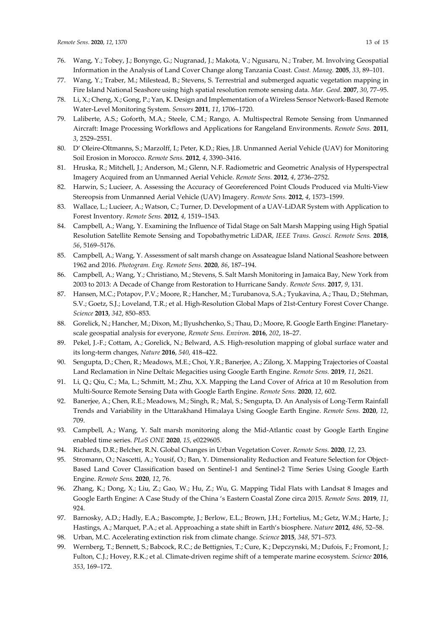- 76. Wang, Y.; Tobey, J.; Bonynge, G.; Nugranad, J.; Makota, V.; Ngusaru, N.; Traber, M. Involving Geospatial Information in the Analysis of Land Cover Change along Tanzania Coast. *Coast. Manag.* **2005**, *33*, 89–101.
- 77. Wang, Y.; Traber, M.; Milestead, B.; Stevens, S. Terrestrial and submerged aquatic vegetation mapping in Fire Island National Seashore using high spatial resolution remote sensing data. *Mar. Geod.* **2007**, *30*, 77–95.
- 78. Li, X.; Cheng, X.; Gong, P.; Yan, K. Design and Implementation of a Wireless Sensor Network-Based Remote Water-Level Monitoring System. *Sensors* **2011**, *11*, 1706–1720.
- 79. Laliberte, A.S.; Goforth, M.A.; Steele, C.M.; Rango, A. Multispectral Remote Sensing from Unmanned Aircraft: Image Processing Workflows and Applications for Rangeland Environments. *Remote Sens.* **2011**, *3*, 2529–2551.
- 80. D' Oleire-Oltmanns, S.; Marzolff, I.; Peter, K.D.; Ries, J.B. Unmanned Aerial Vehicle (UAV) for Monitoring Soil Erosion in Morocco. *Remote Sens.* **2012**, *4*, 3390–3416.
- 81. Hruska, R.; Mitchell, J.; Anderson, M.; Glenn, N.F. Radiometric and Geometric Analysis of Hyperspectral Imagery Acquired from an Unmanned Aerial Vehicle. *Remote Sens.* **2012**, *4*, 2736–2752.
- 82. Harwin, S.; Lucieer, A. Assessing the Accuracy of Georeferenced Point Clouds Produced via Multi-View Stereopsis from Unmanned Aerial Vehicle (UAV) Imagery. *Remote Sens.* **2012**, *4*, 1573–1599.
- 83. Wallace, L.; Lucieer, A.; Watson, C.; Turner, D. Development of a UAV-LiDAR System with Application to Forest Inventory. *Remote Sens.* **2012**, *4*, 1519–1543.
- 84. Campbell, A.; Wang, Y. Examining the Influence of Tidal Stage on Salt Marsh Mapping using High Spatial Resolution Satellite Remote Sensing and Topobathymetric LiDAR, *IEEE Trans. Geosci. Remote Sens.* **2018**, *56*, 5169–5176.
- 85. Campbell, A.; Wang, Y. Assessment of salt marsh change on Assateague Island National Seashore between 1962 and 2016. *Photogram. Eng. Remote Sens.* **2020**, *86*, 187–194.
- 86. Campbell, A.; Wang, Y.; Christiano, M.; Stevens, S. Salt Marsh Monitoring in Jamaica Bay, New York from 2003 to 2013: A Decade of Change from Restoration to Hurricane Sandy. *Remote Sens*. **2017**, *9*, 131.
- 87. Hansen, M.C.; Potapov, P.V.; Moore, R.; Hancher, M.; Turubanova, S.A.; Tyukavina, A.; Thau, D.; Stehman, S.V.; Goetz, S.J.; Loveland, T.R.; et al. High-Resolution Global Maps of 21st-Century Forest Cover Change. *Science* **2013**, *342*, 850–853.
- 88. Gorelick, N.; Hancher, M.; Dixon, M.; Ilyushchenko, S.; Thau, D.; Moore, R. Google Earth Engine: Planetaryscale geospatial analysis for everyone, *Remote Sens. Environ.* **2016**, *202*, 18–27.
- 89. Pekel, J.-F.; Cottam, A.; Gorelick, N.; Belward, A.S. High-resolution mapping of global surface water and its long-term changes, *Nature* **2016**, *540*, 418–422.
- 90. Sengupta, D.; Chen, R.; Meadows, M.E.; Choi, Y.R.; Banerjee, A.; Zilong, X. Mapping Trajectories of Coastal Land Reclamation in Nine Deltaic Megacities using Google Earth Engine. *Remote Sens.* **2019**, *11*, 2621.
- 91. Li, Q.; Qiu, C.; Ma, L.; Schmitt, M.; Zhu, X.X. Mapping the Land Cover of Africa at 10 m Resolution from Multi-Source Remote Sensing Data with Google Earth Engine. *Remote Sens.* **2020**, *12*, 602.
- 92. Banerjee, A.; Chen, R.E.; Meadows, M.; Singh, R.; Mal, S.; Sengupta, D. An Analysis of Long-Term Rainfall Trends and Variability in the Uttarakhand Himalaya Using Google Earth Engine. *Remote Sens.* **2020**, *12*, 709.
- 93. Campbell, A.; Wang, Y. Salt marsh monitoring along the Mid-Atlantic coast by Google Earth Engine enabled time series. *PLoS ONE* **2020**, *15*, e0229605.
- 94. Richards, D.R.; Belcher, R.N. Global Changes in Urban Vegetation Cover. *Remote Sens.* **2020**, *12*, 23.
- 95. Stromann, O.; Nascetti, A.; Yousif, O.; Ban, Y. Dimensionality Reduction and Feature Selection for Object-Based Land Cover Classification based on Sentinel-1 and Sentinel-2 Time Series Using Google Earth Engine. *Remote Sens.* **2020**, *12*, 76.
- 96. Zhang, K.; Dong, X.; Liu, Z.; Gao, W.; Hu, Z.; Wu, G. Mapping Tidal Flats with Landsat 8 Images and Google Earth Engine: A Case Study of the China 's Eastern Coastal Zone circa 2015. *Remote Sens.* **2019**, *11*, 924.
- 97. Barnosky, A.D.; Hadly, E.A.; Bascompte, J.; Berlow, E.L.; Brown, J.H.; Fortelius, M.; Getz, W.M.; Harte, J.; Hastings, A.; Marquet, P.A.; et al. Approaching a state shift in Earth's biosphere. *Nature* **2012**, *486*, 52–58.
- 98. Urban, M.C. Accelerating extinction risk from climate change. *Science* **2015**, *348*, 571–573.
- 99. Wernberg, T.; Bennett, S.; Babcock, R.C.; de Bettignies, T.; Cure, K.; Depczynski, M.; Dufois, F.; Fromont, J.; Fulton, C.J.; Hovey, R.K.; et al. Climate-driven regime shift of a temperate marine ecosystem. *Science* **2016**, *353*, 169–172.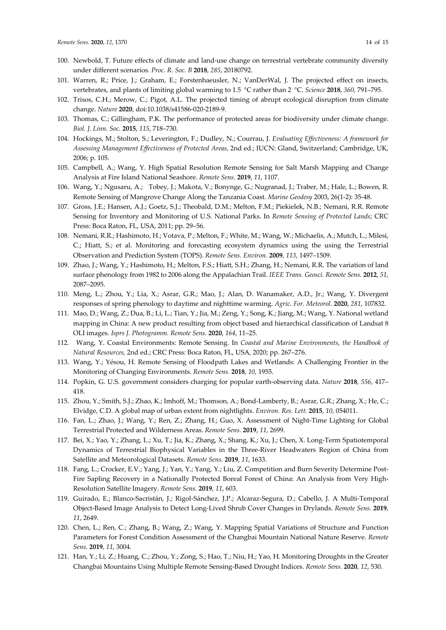- 101. Warren, R.; Price, J.; Graham, E.; Forstenhaeusler, N.; VanDerWal, J. The projected effect on insects, vertebrates, and plants of limiting global warming to 1.5 °C rather than 2 °C. *Science* **2018**, *360*, 791–795.
- 102. Trisos, C.H.; Merow, C.; Pigot, A.L. The projected timing of abrupt ecological disruption from climate change. *Nature* **2020**, doi:10.1038/s41586-020-2189-9.
- 103. Thomas, C.; Gillingham, P.K. The performance of protected areas for biodiversity under climate change. *Biol. J. Linn. Soc.* **2015**, *115*, 718–730.
- 104. Hockings, M.; Stolton, S.; Leverington, F.; Dudley, N.; Courrau, J. *Evaluating Effectiveness: A framework for Assessing Management Effectiveness of Protected Areas*, 2nd ed.; IUCN: Gland, Switzerland; Cambridge, UK, 2006; p. 105.
- 105. Campbell, A.; Wang, Y. High Spatial Resolution Remote Sensing for Salt Marsh Mapping and Change Analysis at Fire Island National Seashore. *Remote Sens.* **2019**, *11*, 1107.
- 106. Wang, Y.; Ngusaru, A.; Tobey, J.; Makota, V.; Bonynge, G.; Nugranad, J.; Traber, M.; Hale, L.; Bowen, R. Remote Sensing of Mangrove Change Along the Tanzania Coast. *Marine Geodesy* 2003, 26(1-2): 35-48.
- 107. Gross, J.E.; Hansen, A.J.; Goetz, S.J.; Theobald, D.M.; Melton, F.M.; Piekielek, N.B.; Nemani, R.R. Remote Sensing for Inventory and Monitoring of U.S. National Parks. In *Remote Sensing of Protected Lands*; CRC Press: Boca Raton, FL, USA, 2011; pp. 29–56.
- 108. Nemani, R.R.; Hashimoto, H.; Votava, P.; Melton, F.; White, M.; Wang, W.; Michaelis, A.; Mutch, L.; Milesi, C.; Hiatt, S.; et al. Monitoring and forecasting ecosystem dynamics using the using the Terrestrial Observation and Prediction System (TOPS). *Remote Sens. Environ.* **2009**, *113*, 1497–1509.
- 109. Zhao, J.; Wang, Y.; Hashimoto, H.; Melton, F.S.; Hiatt, S.H.; Zhang, H.; Nemani, R.R. The variation of land surface phenology from 1982 to 2006 along the Appalachian Trail. *IEEE Trans. Geosci. Remote Sens.* **2012**, *51*, 2087–2095.
- 110. Meng, L.; Zhou, Y.; Lia, X.; Asrar, G.R.; Mao, J.; Alan, D. Wanamaker, A.D., Jr.; Wang, Y. Divergent responses of spring phenology to daytime and nighttime warming. *Agric. For. Meteorol.* **2020**, *281*, 107832.
- 111. Mao, D.; Wang, Z.; Dua, B.; Li, L.; Tian, Y.; Jia, M.; Zeng, Y.; Song, K.; Jiang, M.; Wang, Y. National wetland mapping in China: A new product resulting from object based and hierarchical classification of Landsat 8 OLI images. *Isprs J. Photogramm. Remote Sens.* **2020**, *164*, 11–25.
- 112. Wang, Y. Coastal Environments: Remote Sensing. In *Coastal and Marine Environments*, *the Handbook of Natural Resources,* 2nd ed.; CRC Press: Boca Raton, FL, USA, 2020; pp. 267–276.
- 113. Wang, Y.; Yésou, H. Remote Sensing of Floodpath Lakes and Wetlands: A Challenging Frontier in the Monitoring of Changing Environments. *Remote Sens.* **2018**, *10*, 1955.
- 114. Popkin, G. U.S. government considers charging for popular earth-observing data. *Nature* **2018**, *556*, 417– 418.
- 115. Zhou, Y.; Smith, S.J.; Zhao, K.; Imhoff, M.; Thomson, A.; Bond-Lamberty, B.; Asrar, G.R.; Zhang, X.; He, C.; Elvidge, C.D. A global map of urban extent from nightlights. *Environ. Res. Lett.* **2015**, *10*, 054011.
- 116. Fan, L.; Zhao, J.; Wang, Y.; Ren, Z.; Zhang, H.; Guo, X. Assessment of Night-Time Lighting for Global Terrestrial Protected and Wilderness Areas. *Remote Sens.* **2019**, *11*, 2699.
- 117. Bei, X.; Yao, Y.; Zhang, L.; Xu, T.; Jia, K.; Zhang, X.; Shang, K.; Xu, J.; Chen, X. Long-Term Spatiotemporal Dynamics of Terrestrial Biophysical Variables in the Three-River Headwaters Region of China from Satellite and Meteorological Datasets. *Remote Sens.* **2019**, *11*, 1633.
- 118. Fang, L.; Crocker, E.V.; Yang, J.; Yan, Y.; Yang, Y.; Liu, Z. Competition and Burn Severity Determine Post-Fire Sapling Recovery in a Nationally Protected Boreal Forest of China: An Analysis from Very High-Resolution Satellite Imagery. *Remote Sens.* **2019**, *11*, 603.
- 119. Guirado, E.; Blanco-Sacristán, J.; Rigol-Sánchez, J.P.; Alcaraz-Segura, D.; Cabello, J. A Multi-Temporal Object-Based Image Analysis to Detect Long-Lived Shrub Cover Changes in Drylands. *Remote Sens.* **2019**, *11*, 2649.
- 120. Chen, L.; Ren, C.; Zhang, B.; Wang, Z.; Wang, Y. Mapping Spatial Variations of Structure and Function Parameters for Forest Condition Assessment of the Changbai Mountain National Nature Reserve. *Remote Sens.* **2019**, *11*, 3004.
- 121. Han, Y.; Li, Z.; Huang, C.; Zhou, Y.; Zong, S.; Hao, T.; Niu, H.; Yao, H. Monitoring Droughts in the Greater Changbai Mountains Using Multiple Remote Sensing-Based Drought Indices. *Remote Sens.* **2020**, *12*, 530.